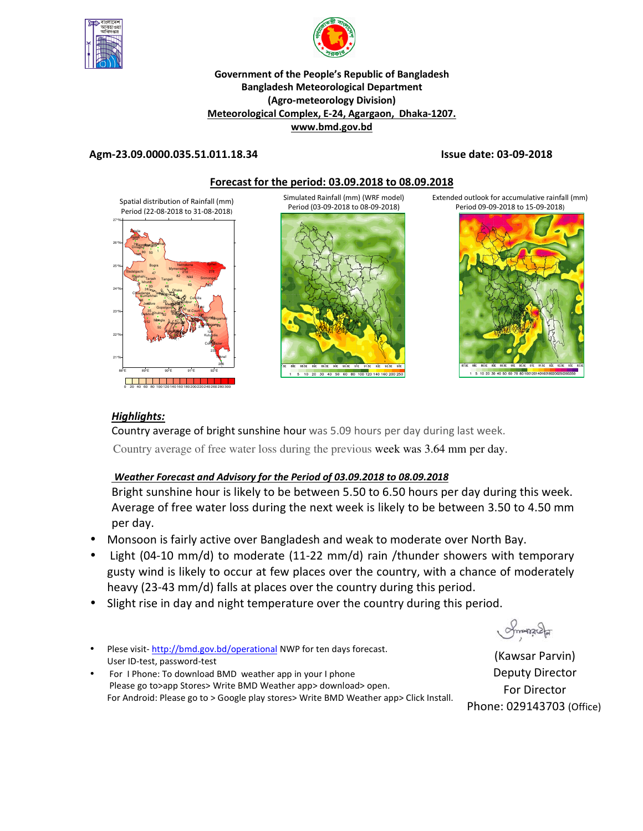



### **Government of the People's Republic of Bangladesh Bangladesh Meteorological Department (Agro-meteorology Division) Meteorological Complex, E-24, Agargaon, Dhaka-1207. www.bmd.gov.bd**

# **Agm-23.09.0000.035.51.011.18.34 Issue date: 03-09-2018**



Simulated Rainfall (mm) (WRF model) Period (03-09-2018 to 08-09-2018)



Extended outlook for accumulative rainfall (mm) Period 09-09-2018 to 15-09-2018)



# *Highlights:*

Country average of bright sunshine hour was 5.09 hours per day during last week. Country average of free water loss during the previous week was 3.64 mm per day.

# *Weather Forecast and Advisory for the Period of 03.09.2018 to 08.09.2018*

Bright sunshine hour is likely to be between 5.50 to 6.50 hours per day during this week. Average of free water loss during the next week is likely to be between 3.50 to 4.50 mm per day.

- Monsoon is fairly active over Bangladesh and weak to moderate over North Bay.
- Light (04-10 mm/d) to moderate (11-22 mm/d) rain /thunder showers with temporary gusty wind is likely to occur at few places over the country, with a chance of moderately heavy (23-43 mm/d) falls at places over the country during this period.
- Slight rise in day and night temperature over the country during this period.
- Plese visit- http://bmd.gov.bd/operational NWP for ten days forecast. User ID-test, password-test
- For I Phone: To download BMD weather app in your I phone Please go to>app Stores> Write BMD Weather app> download> open. For Android: Please go to > Google play stores> Write BMD Weather app> Click Install.

Smanach

(Kawsar Parvin) Deputy Director For Director Phone: 029143703 (Office)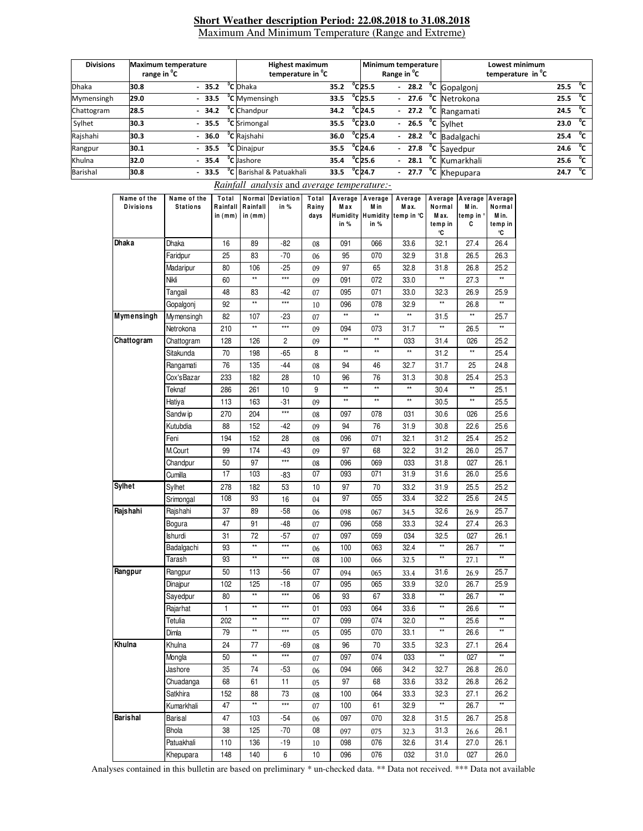#### **Short Weather description Period: 22.08.2018 to 31.08.2018** Maximum And Minimum Temperature (Range and Extreme)

| <b>Divisions</b> | <b>Maximum temperature</b><br>range in <sup>o</sup> C |         | <b>Highest maximum</b><br>temperature in <sup>o</sup> C |      |                              | Minimum temperature<br>Range in <sup>"</sup> C |         | Lowest minimum<br>temperature in <sup>o</sup> C |      |        |
|------------------|-------------------------------------------------------|---------|---------------------------------------------------------|------|------------------------------|------------------------------------------------|---------|-------------------------------------------------|------|--------|
| <b>Dhaka</b>     | 30.8                                                  | $-35.2$ | <sup>o</sup> C Dhaka                                    | 35.2 | $^{\circ}$ C25.5             |                                                |         | $-28.2$ <sup>o</sup> C Gopalgonj                | 25.5 | °c     |
| Mymensingh       | 29.0                                                  | $-33.5$ | <sup>o</sup> C Mymensingh                               | 33.5 | $^{\circ}$ C25.5             |                                                |         | $-27.6$ <sup>o</sup> C Netrokona                | 25.5 | °c     |
| Chattogram       | 28.5                                                  | $-34.2$ | <sup>o</sup> C Chandpur                                 | 34.2 | $^{\circ}$ C <sub>24.5</sub> |                                                |         | - $27.2$ <sup>o</sup> C Rangamati               | 24.5 | °c     |
| Sylhet           | 30.3                                                  | $-35.5$ | <sup>o</sup> C Srimongal                                | 35.5 | $^{\circ}$ C23.0             |                                                |         | $-26.5$ <sup>o</sup> C Sylhet                   | 23.0 | °c     |
| Rajshahi         | 30.3                                                  | $-36.0$ | <sup>o</sup> C Raishahi                                 | 36.0 | $^{\circ}$ C <sub>25.4</sub> |                                                |         | - $28.2 °C$ Badalgachi                          | 25.4 | $^0$ C |
| Rangpur          | 30.1                                                  | $-35.5$ | <sup>o</sup> C Dinajpur                                 | 35.5 | $^{\circ}$ C <sub>24.6</sub> |                                                |         | $-27.8$ °C Sayedpur                             | 24.6 | $^0$ C |
| Khulna           | 32.0                                                  | $-35.4$ | <b>°C</b> Jashore                                       | 35.4 | $^{\circ}$ C25.6             |                                                |         | - 28.1 °C Kumarkhali                            | 25.6 | °c     |
| Barishal         | 30.8                                                  | $-33.5$ | <sup>o</sup> C Barishal & Patuakhali                    | 33.5 | $^{\circ}$ C <sub>24.7</sub> |                                                | $-27.7$ | <sup>o</sup> C Khepupara                        | 24.7 | °c     |

 *Rainfall analysis* and *average temperature:-*

| Name of the<br><b>Divisions</b> | Name of the<br><b>Stations</b> | Total<br>Rainfall<br>in (mm) | Rainfall<br>in (mm) | Normal Deviation<br>in % | Total<br>Rainy<br>days | Average<br>Max<br>in % | Average<br>M in<br>in % | Average<br>M ax.<br>Humidity Humidity temp in °C | Average<br>Normal<br>M ax.<br>temp in | Average<br>M in.<br>temp in $^{\circ}$<br>C | Average<br>Normal<br>M in.<br>temp in |
|---------------------------------|--------------------------------|------------------------------|---------------------|--------------------------|------------------------|------------------------|-------------------------|--------------------------------------------------|---------------------------------------|---------------------------------------------|---------------------------------------|
| Dhaka                           | Dhaka                          | 16                           | 89                  | $-82$                    | 08                     | 091                    | 066                     | 33.6                                             | °C<br>32.1                            | 27.4                                        | ۰C<br>26.4                            |
|                                 | Faridpur                       | 25                           | 83                  | $-70$                    | 06                     | 95                     | 070                     | 32.9                                             | 31.8                                  | 26.5                                        | 26.3                                  |
|                                 | Madaripur                      | 80                           | 106                 | $-25$                    | 09                     | 97                     | 65                      | 32.8                                             | 31.8                                  | 26.8                                        | 25.2                                  |
|                                 | Nikli                          | 60                           | $\star\star$        | $***$                    | 09                     | 091                    | 072                     | 33.0                                             | $\star\star$                          | 27.3                                        | $\star\star$                          |
|                                 | Tangail                        | 48                           | 83                  | $-42$                    | 07                     | 095                    | 071                     | 33.0                                             | 32.3                                  | 26.9                                        | 25.9                                  |
|                                 | Gopalgonj                      | 92                           | $\star\star$        | $***$                    | 10                     | 096                    | 078                     | 32.9                                             |                                       | 26.8                                        |                                       |
| Mymensingh                      | Mymensingh                     | 82                           | 107                 | -23                      | 07                     | **                     | $\star\star$            | $\star\star$                                     | 31.5                                  | $\star\star$                                | 25.7                                  |
|                                 | Netrokona                      | 210                          | $\star\star$        | $***$                    | 09                     | 094                    | 073                     | 31.7                                             | $\star\star$                          | 26.5                                        | $\star\star$                          |
| Chattogram                      | Chattogram                     | 128                          | 126                 | 2                        | 09                     | $\star\star$           | **                      | 033                                              | 31.4                                  | 026                                         | 25.2                                  |
|                                 | Sitakunda                      | 70                           | 198                 | $-65$                    | 8                      | $\star\star$           | $\star\star$            | $\star\star$                                     | 31.2                                  | $\star\star$                                | 25.4                                  |
|                                 | Rangamati                      | 76                           | 135                 | $-44$                    | 08                     | 94                     | 46                      | 32.7                                             | 31.7                                  | 25                                          | 24.8                                  |
|                                 | Cox'sBazar                     | 233                          | 182                 | 28                       | 10                     | 96                     | 76                      | 31.3                                             | 30.8                                  | 25.4                                        | 25.3                                  |
|                                 | Teknaf                         | 286                          | 261                 | 10                       | 9                      | **                     | $\star\star$            | $\star\star$                                     | 30.4                                  | $\star\star$                                | 25.1                                  |
|                                 | Hatiya                         | 113                          | 163                 | $-31$                    | 09                     | **                     | $\star\star$            | $^{\star\star}$                                  | 30.5                                  | $\star\star$                                | 25.5                                  |
|                                 | Sandw ip                       | 270                          | 204                 | $***$                    | 08                     | 097                    | 078                     | 031                                              | 30.6                                  | 026                                         | 25.6                                  |
|                                 | Kutubdia                       | 88                           | 152                 | -42                      | 09                     | 94                     | 76                      | 31.9                                             | 30.8                                  | 22.6                                        | 25.6                                  |
|                                 | Feni                           | 194                          | 152                 | 28                       | 08                     | 096                    | 071                     | 32.1                                             | 31.2                                  | 25.4                                        | 25.2                                  |
|                                 | M.Court                        | 99                           | 174                 | -43                      | 09                     | 97                     | 68                      | 32.2                                             | 31.2                                  | 26.0                                        | 25.7                                  |
|                                 | Chandpur                       | 50                           | 97                  | $***$                    |                        | 096                    | 069                     | 033                                              | 31.8                                  | 027                                         | 26.1                                  |
|                                 | Cumilla                        | 17                           | 103                 | -83                      | 08<br>07               | 093                    | 071                     | 31.9                                             | 31.6                                  | 26.0                                        | 25.6                                  |
| <b>Sylhet</b>                   | Sylhet                         | 278                          | 182                 | 53                       | 10                     | 97                     | 70                      | 33.2                                             | 31.9                                  | 25.5                                        | 25.2                                  |
|                                 | Srimongal                      | 108                          | 93                  | 16                       | 04                     | 97                     | 055                     | 33.4                                             | 32.2                                  | 25.6                                        | 24.5                                  |
| Rajshahi                        | Rajshahi                       | 37                           | 89                  | $-58$                    | 06                     | 098                    | 067                     | 34.5                                             | 32.6                                  | 26.9                                        | 25.7                                  |
|                                 | Bogura                         | 47                           | 91                  | $-48$                    | 07                     | 096                    | 058                     | 33.3                                             | 32.4                                  | 27.4                                        | 26.3                                  |
|                                 | Ishurdi                        | 31                           | 72                  | $-57$                    |                        | 097                    | 059                     | 034                                              | 32.5                                  | 027                                         | 26.1                                  |
|                                 | Badalgachi                     | 93                           | $\star\star$        | $***$                    | 07<br>06               | 100                    | 063                     | 32.4                                             | $\star\star$                          | 26.7                                        | $**$                                  |
|                                 | Tarash                         | 93                           | $\star\star$        | $***$                    | 08                     | 100                    | 066                     | 32.5                                             | $\star\star$                          | 27.1                                        | **                                    |
| Rangpur                         | Rangpur                        | 50                           | 113                 | $-56$                    | 07                     | 094                    | 065                     |                                                  | 31.6                                  | 26.9                                        | 25.7                                  |
|                                 | Dinajpur                       | 102                          | 125                 | $-18$                    | 07                     | 095                    | 065                     | 33.4<br>33.9                                     | 32.0                                  | 26.7                                        | 25.9                                  |
|                                 | Sayedpur                       | 80                           | $\star\star$        | $***$                    | 06                     | 93                     | 67                      | 33.8                                             | $\star\star$                          | 26.7                                        | $\star\star$                          |
|                                 | Rajarhat                       | $\mathbf{1}$                 | $\star\star$        | $***$                    | 01                     | 093                    | 064                     | 33.6                                             | $\star\star$                          | 26.6                                        | $\star\star$                          |
|                                 | Tetulia                        | 202                          | $\star\star$        | $***$                    | 07                     | 099                    | 074                     | 32.0                                             | $\star\star$                          | 25.6                                        | $\star\star$                          |
|                                 | Dimla                          | 79                           | $**$                | $***$                    | 05                     | 095                    | 070                     | 33.1                                             | $^{\star\star}$                       | 26.6                                        | $\star\star$                          |
| Khulna                          | Khulna                         | 24                           | 77                  | -69                      |                        | 96                     | 70                      | 33.5                                             | 32.3                                  | 27.1                                        | 26.4                                  |
|                                 | Mongla                         | 50                           | $\star\star$        | $***$                    | 08                     | 097                    | 074                     | 033                                              | $\star\star$                          | 027                                         | $\star\star$                          |
|                                 |                                |                              |                     |                          | 07                     |                        |                         |                                                  |                                       |                                             |                                       |
|                                 | Jashore<br>Chuadanga           | 35                           | 74                  | $-53$                    | 06                     | 094                    | 066                     | 34.2                                             | 32.7                                  | 26.8                                        | 26.0                                  |
|                                 |                                | 68                           | 61                  | 11                       | 05                     | 97                     | 68                      | 33.6                                             | 33.2                                  | 26.8                                        | 26.2                                  |
|                                 | Satkhira                       | 152<br>47                    | 88<br>$\star\star$  | 73<br>$***$              | 08                     | 100<br>100             | 064                     | 33.3                                             | 32.3<br>$\star\star$                  | 27.1<br>26.7                                | 26.2<br>$\star\star$                  |
|                                 | Kumarkhali                     |                              |                     |                          | 07                     |                        | 61                      | 32.9                                             |                                       |                                             |                                       |
| Barishal                        | Barisal                        | 47                           | 103                 | $-54$                    | 06                     | 097                    | 070                     | 32.8                                             | 31.5                                  | 26.7                                        | 25.8                                  |
|                                 | Bhola                          | 38                           | 125                 | $-70$                    | 08                     | 097                    | 075                     | 32.3                                             | 31.3                                  | 26.6                                        | 26.1                                  |
|                                 | Patuakhali                     | 110                          | 136                 | $-19$                    | 10                     | 098                    | 076                     | 32.6                                             | 31.4                                  | 27.0                                        | 26.1                                  |
|                                 | Khepupara                      | 148                          | 140                 | 6                        | 10                     | 096                    | 076                     | 032                                              | 31.0                                  | 027                                         | 26.0                                  |

Analyses contained in this bulletin are based on preliminary \* un-checked data. \*\* Data not received. \*\*\* Data not available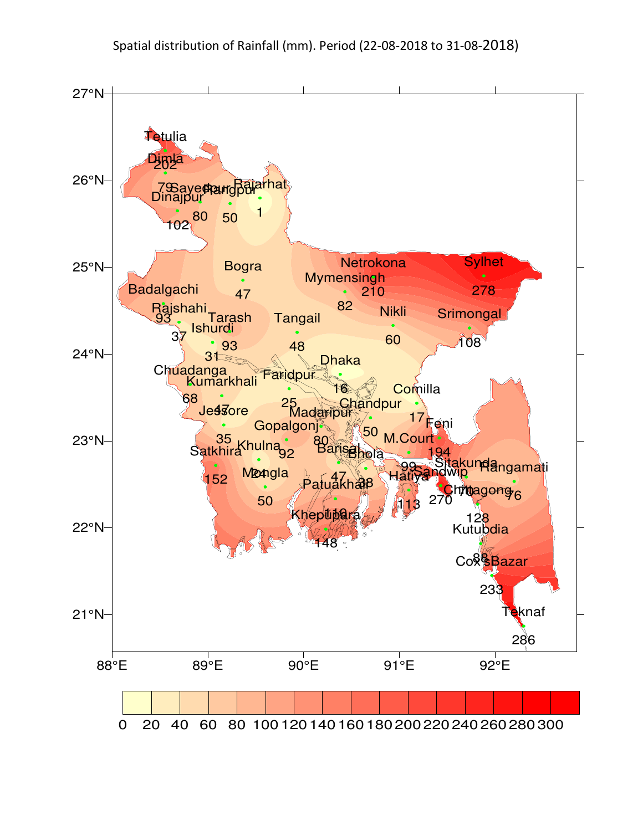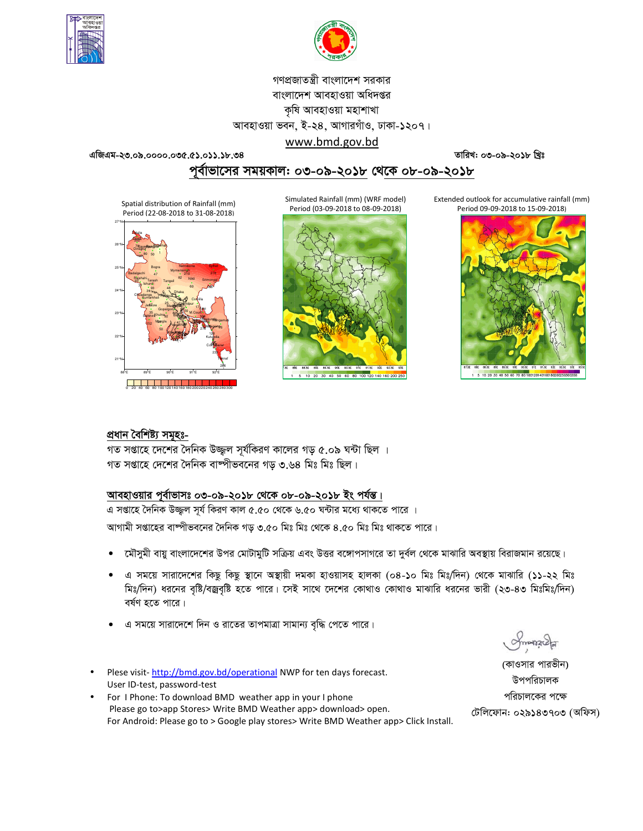



গণপ্রজাতন্ত্রী বাংলাদেশ সরকার বাংলাদেশ আবহাওয়া অধিদপ্তর কৃষি আবহাওয়া মহাশাখা আবহাওয়া ভবন, ই-২৪, আগারগাঁও, ঢাকা-১২০৭। www.bmd.gov.bd

এজিএম-২৩.০৯.০০০০.০৩৫.৫১.০১১.১৮.৩৪

তারিখ: ০৩-০৯-২০১৮ খ্রিঃ

পূর্বাভাসের সময়কাল: ০৩-০৯-২০১৮ থেকে ০৮-০৯-২০১৮

Spatial distribution of Rainfall (mm) Period (22-08-2018 to 31-08-2018)



Simulated Rainfall (mm) (WRF model) Period (03-09-2018 to 08-09-2018)



Extended outlook for accumulative rainfall (mm) Period 09-09-2018 to 15-09-2018)



## প্ৰধান বৈশিষ্ট্য সমূহঃ-

গত সপ্তাহে দেশের দৈনিক উজ্জল সূর্যকিরণ কালের গড় ৫.০৯ ঘন্টা ছিল । গত সপ্তাহে দেশের দৈনিক বাষ্পীভবনের গড় ৩.৬৪ মিঃ মিঃ ছিল।

## আবহাওয়ার পূর্বাভাসঃ ০৩-০৯-২০১৮ থেকে ০৮-০৯-২০১৮ ইং পর্যন্ত।

এ সপ্তাহে দৈনিক উজ্জ্বল সূর্য কিরণ কাল ৫.৫০ থেকে ৬.৫০ ঘন্টার মধ্যে থাকতে পারে ।

আগামী সপ্তাহের বাম্পীভবনের দৈনিক গড় ৩.৫০ মিঃ মিঃ থেকে ৪.৫০ মিঃ মিঃ থাকতে পারে।

- মৌসুমী বায়ু বাংলাদেশের উপর মোটামুটি সক্রিয় এবং উত্তর বঙ্গোপসাগরে তা দুর্বল থেকে মাঝারি অবস্থায় বিরাজমান রয়েছে।
- এ সময়ে সারাদেশের কিছু কিছু স্থানে অস্থায়ী দমকা হাওয়াসহ হালকা (০৪-১০ মিঃ মিঃ/দিন) থেকে মাঝারি (১১-২২ মিঃ মিঃ/দিন) ধরনের বৃষ্টি/বজ্রবৃষ্টি হতে পারে। সেই সাথে দেশের কোথাও কোথাও মাঝারি ধরনের ভারী (২৩-৪৩ মিঃমিঃ/দিন) বর্ষণ হতে পারে।
- এ সময়ে সারাদেশে দিন ও রাতের তাপমাত্রা সামান্য বৃদ্ধি পেতে পারে।
- Plese visit-http://bmd.gov.bd/operational NWP for ten days forecast. User ID-test, password-test
- For I Phone: To download BMD weather app in your I phone Please go to>app Stores> Write BMD Weather app> download> open. For Android: Please go to > Google play stores> Write BMD Weather app> Click Install.

(কাওসার পারভীন) উপপরিচালক পরিচালকের পক্ষে টেলিফোন: ০২৯১৪৩৭০৩ (অফিস)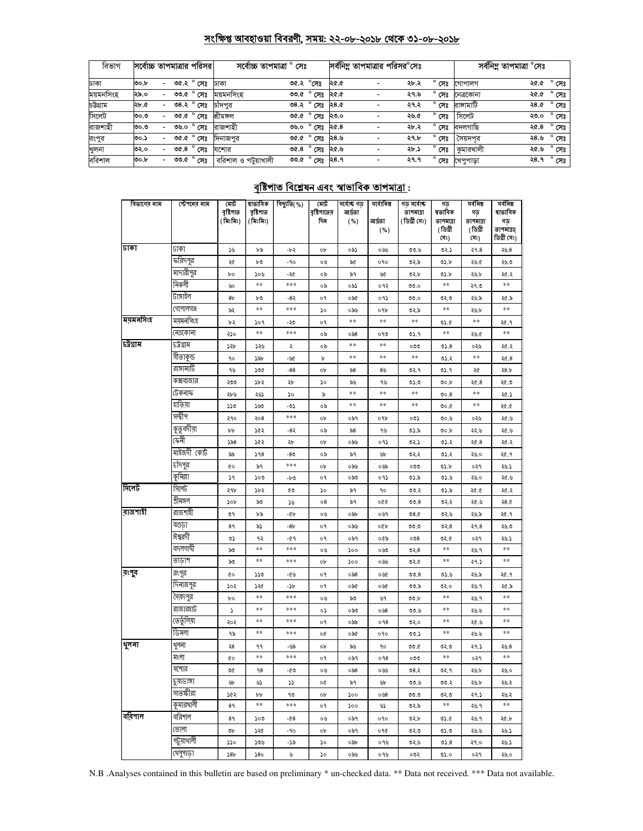# সংক্ষিপ্ত আবহাওয়া বিবরণী, সময়: ২২-০৮-২০১৮ থেকে ৩১-০৮-২০১৮

| বিভাগ     |      |                          | সর্বোচ্চ তাপমাত্রার পরিসর                  | সৰ্বোচ্চ তাপমাত্ৰা ° সেঃ |                                              |      | সর্বনিম তাপমাত্রার পরিসর <sup>o</sup> সেঃ |                |                         | সর্বনিম্ন তাপমাত্রা °সেঃ |                     |
|-----------|------|--------------------------|--------------------------------------------|--------------------------|----------------------------------------------|------|-------------------------------------------|----------------|-------------------------|--------------------------|---------------------|
| ঢাকা      | ৩০.৮ | $\sim$                   | ত $\overline{\mathcal{C}}$ .২ $^\circ$ সেঃ | ঢাকা                     | ৩৫.২ °সেঃ                                    | ২৫.৫ | ২৮.২                                      | $^{\circ}$ সেঃ | গোপালগ                  |                          | ২৫.৫ ° সেঃ          |
| ময়মনসিংহ | ২৯.০ |                          | <u>৩৩.৫ <math>^{\circ}</math></u> সেঃ      | ময়মনসিংহ                | <u>তত <math>\overline{c}</math></u> সেঃ ২৫.৫ |      | ২৭.৬                                      | $^{\circ}$ সেঃ | নেত্ৰকোনা               |                          | ২৫.৫ $^{\circ}$ সেঃ |
| চউগ্ৰাম   | ২৮.৫ | $\overline{\phantom{0}}$ | ৩৪.২ $^{\circ}$ সেঃ                        | চাঁদপুর                  | $0.82^\circ$ मिं $3.80^\circ$                |      | ২৭.২                                      | $^{\circ}$ সেঃ | রাঙ্গামাটি              |                          | ২৪.৫ ° সেঃ          |
| সিলেট     | ৩০.৩ | $\overline{\phantom{0}}$ | ৩৫.৫ $^{\circ}$ সেঃ                        | শ্ৰীমঙ্গল                | <u>তংকে সেঃ ২৩.০</u>                         |      | ২৬.৫                                      | $^{\circ}$ সেঃ | সিলেট                   | ২৩.০                     | $^{\circ}$ সেঃ      |
| রাজশাহী   | ৩০.৩ | $\overline{\phantom{0}}$ | ৩৬.০ ° সেঃ                                 | রাজশাহী                  | ৩৬.০ $^{\circ}$ সেঃ ২৫.৪                     |      | ২৮.২                                      | $^{\circ}$ সেঃ | বদলগাছি                 | ২৫.৪                     | $^{\circ}$ সেঃ      |
| রংপুর     | ৩০.১ | $\overline{\phantom{0}}$ | ৩৫.৫ ° সেঃ                                 | দিনাজপুর                 | ৩৫.৫ $^{\circ}$ সেঃ ২৪.৬                     |      | ২৭.৮                                      | $^{\circ}$ সেঃ | সৈয়দপর                 | ২৪.৬                     | $^{\circ}$ সেঃ      |
| খুলনা     | ৩২.০ | $\overline{\phantom{0}}$ | ৩৫.৪ $^{\circ}$ সেঃ                        | যশোর                     | ৩৫.৪ $^{\circ}$ সেঃ ২৫.৬                     |      | ২৮.১                                      | $^{\circ}$ সেঃ | কমারথালী                | ২৫.৬                     | $^{\circ}$ সেঃ      |
| বরিশাল    | oo b | $\sim$                   | ৩৩.৫ $^{\circ}$ সেঃ                        | বরিশাল ও পটুয়াখালী      | ৩৩.৫ $^{\circ}$ সেঃ ২৪.৭                     |      | २१.१                                      |                | <b>° সেঃ খে</b> পুপাড়া |                          | ২৪.৭ ° সেঃ          |

# <u> বৃষ্টিপাত বিশ্লেষন এবং স্বাভাবিক তাপমাত্ৰা :</u>

| বিভাগের নাম | স্টেশনের নাম | মোট<br>বৃষ্টিপাত<br>(মিঃমিঃ) | ষাভাবিক<br>বৃষ্টিপাত<br>(মিঃমিঃ) | বিছ্যুতি(%) | মোট<br>বৃষ্টিশাতের<br>দিন | সৰ্বোষ্ক গড<br>আৰ্ঘতা<br>( %) | সৰ্বোনিম্ন<br>আৰ্দ্ৰতা<br>( %) | গড় সৰ্বোষ্ট<br>তাপমাত্রা<br>(ডিগ্ৰী সেঃ) | গড<br>ষভাবিক<br>তাপমাত্রা<br>(ডিগ্ৰী<br>(সঃ) | সৰ্বনিম্ন<br>গড়<br>তাপমাত্রা<br>(ডিগ্ৰী<br>(সঃ) | সৰ্বনিম্ন<br>ষাভাবিক<br>গড়<br>তাপমাত্রা(<br>ডিগ্ৰী সেঃ) |
|-------------|--------------|------------------------------|----------------------------------|-------------|---------------------------|-------------------------------|--------------------------------|-------------------------------------------|----------------------------------------------|--------------------------------------------------|----------------------------------------------------------|
| ঢাকা        | जका          | ১৬                           | ৮৯                               | -৮২         | ob                        | ০৯১                           | ০৬৬                            | 00.6                                      | 02.5                                         | ২৭.৪                                             | 20.8                                                     |
|             | ফরিদপুর      | ২৫                           | ৮৩                               | -90         | ০৬                        | ৯৫                            | ०१०                            | ৩২.৯                                      | <b>92.b</b>                                  | ২৬.৫                                             | ২৬.৩                                                     |
|             | মাদারীপুর    | bο                           | ১০৬                              | -20         | ০৯                        | ৯৭                            | ৬৫                             | ৩২.৮                                      | ৩১.৮                                         | ২৬.৮                                             | ২৫.২                                                     |
|             | নিকলী        | ৬০                           | **                               | $***$       | ০৯                        | ০৯১                           | ०१२                            | 00.0                                      | $**$                                         | ২৭.৩                                             | **                                                       |
|             | টাঙ্গাইল     | 8 <sub>b</sub>               | ৮৩                               | -8২         | o٩                        | ০৯৫                           | ०१১                            | 00.0                                      | 0.50                                         | ২৬.৯                                             | ২৫.৯                                                     |
|             | গোপালগঞ্জ    | ৯২                           | $\pm\pm$                         | $***$       | $\mathcal{L}$             | ০৯৬                           | ०१৮                            | ৩২.৯                                      | $\ast\ast$                                   | ২৬.৮                                             | **                                                       |
| ময়মনসিংহ   | ময়মনসিংহ    | ৮২                           | ১০৭                              | -২৩         | o٩                        | **                            | **                             | **                                        | 05.6                                         | $***$                                            | ২৫.৭                                                     |
|             | নেত্ৰকোনা    | ২১০                          | $\pm\pm$                         | $***$       | ০৯                        | $\circ$ ৯8                    | ০৭৩                            | 05.9                                      | $***$                                        | ২৬.৫                                             | $\pm\pm$                                                 |
| চট্টগ্ৰাম   | ঢট্রগ্রাম    | ১২৮                          | ১২৬                              | ২           | ০৯                        | **                            | **                             | ೦೦೦                                       | 05.8                                         | ০২৬                                              | ২৫.২                                                     |
|             | সীতাকুন্ড    | ٩o                           | ১৯৮                              | -66         | b                         | **                            | **                             | **                                        | ৩১.২                                         | $***$                                            | 20.8                                                     |
|             | রাঙ্গামার্টি | ৭৬                           | ১৩৫                              | $-88$       | ob                        | $\$8$                         | 85                             | ৩২.৭                                      | ৩১.৭                                         | ২৫                                               | 28.5                                                     |
|             | কক্সবাজার    | ২৩৩                          | ১৮২                              | ২৮          | ১০                        | ৯৬                            | ৭৬                             | ৩১.৩                                      | 00.b                                         | 20.8                                             | ২৫.৩                                                     |
|             | ঢেকনাফ       | ২৮৬                          | ২৬১                              | ১০          | ৯                         | **                            | **                             | **                                        | 00.8                                         | **                                               | ২৫.১                                                     |
|             | হাতিয়া      | ১১৩                          | ১৬৩                              | -৩১         | ০৯                        | **                            | **                             | **                                        | 0.00                                         | **                                               | ১.৩۶                                                     |
|             | সন্দ্বীপ     | ২৭০                          | ২০৪                              | ***         | ob                        | ০৯৭                           | ०१৮                            | ০৩১                                       | 00.6                                         | ০২৬                                              | ২৫.৬                                                     |
|             | কুতুবদীয়া   | bþ                           | ১৫২                              | -8২         | ০৯                        | ৯৪                            | ৭৬                             | ৩১.৯                                      | 00.b                                         | ২২.৬                                             | ২৫.৬                                                     |
|             | কেনী         | 558                          | ১৫২                              | ২৮          | ob                        | ০৯৬                           | ०१১                            | ৩২.১                                      | ৩১.২                                         | 20.8                                             | ২৫.২                                                     |
|             | মাইজদী কোর্ট | ৯৯                           | 598                              | -80         | ০৯                        | ৯৭                            | ৬৮                             | ७२.२                                      | ৩১.২                                         | ২৬.০                                             | ২৫.৭                                                     |
|             | চাঁদপুর      | ¢о                           | ৯৭                               | ***         | ob                        | ০৯৬                           | ০৬৯                            | ೲ                                         | 05.b                                         | ०२१                                              | ২৬.১                                                     |
|             | কুমিল্লা     | 39                           | ১০৩                              | -b0         | o٩                        | ಂನಿರಿ                         | ०१১                            | ৩১.৯                                      | 0.5.5                                        | ২৬.০                                             | ২৫.৬                                                     |
| সিলেট       | সিলেট        | ২৭৮                          | ১৮২                              | ৫৩          | ১০                        | ৯৭                            | ٩0                             | 00.3                                      | ৩১.৯                                         | ১.৩۶                                             | ২৫.২                                                     |
|             | শ্ৰীমঙ্গল    | ১০৮                          | ৯৩                               | ১৬          | 08                        | ৯৭                            | oQQ                            | 00.8                                      | ७२.२                                         | ২৫.৬                                             | 28.0                                                     |
| রাজশাহী     | রাজশাইী      | ৩৭                           | ৮৯                               | -66         | ০৬                        | ০৯৮                           | ০৬৭                            | 08.0                                      | ৩২.৬                                         | ২৬.৯                                             | ২৫.৭                                                     |
|             | বগুডা        | 89                           | ৯১                               | $-8b$       | о۹                        | ০৯৬                           | ০৫৮                            | ৩৩.৩                                      | ৩২. $8$                                      | ২৭.৪                                             | ২৬.৩                                                     |
|             | ঈশ্বরদী      | ৩১                           | ৭২                               | -৫৭         | o٩                        | ০৯৭                           | ০৫৯                            | 008                                       | 0.90                                         | ०२१                                              | ২৬.১                                                     |
|             | বদলগাঘী      | ৯৩                           | **                               | $***$       | ০৬                        | ১০০                           | ০৬৩                            | ৩২. $8$                                   | $***$                                        | ২৬.৭                                             | **                                                       |
|             | তাডাশ        | ৯৩                           | $***$                            | ***         | ob                        | ১০০                           | ০৬৬                            | 02.6                                      | $***$                                        | ২৭.১                                             | $***$                                                    |
| রংপুব       | রংপুর        | ¢о                           | ১১৩                              | -৫৬         | o٩                        | ০৯৪                           | ০৬৫                            | 00.8                                      | 0.5.5                                        | ২৬.৯                                             | ২৫.৭                                                     |
|             | দিনাজপুর     | ১০২                          | ১২৫                              | -১৮         | o٩                        | ০৯৫                           | ০৬৫                            | ৩৩.৯                                      | ৩২.০                                         | ২৬.৭                                             | ২৫.৯                                                     |
|             | সৈয়দপুর     | bο                           | $\pm\pm$                         | ***         | ০৬                        | ৯৩                            | ৬৭                             | ৩৩.৮                                      | $**$                                         | ২৬.৭                                             | **                                                       |
|             | রাজারহাট     | ډ                            | $***$                            | ***         | ०১                        | ಂನಿರಿ                         | ०७8                            | 00.6                                      | $***$                                        | ২৬.৬                                             | **                                                       |
|             | তেতুঁলিয়া   | ২০২                          | $***$                            | $***$       | o٩                        | ০৯৯                           | 098                            | ७२.०                                      | **                                           | ২৫.৬                                             | **                                                       |
|             | াডমলা        | ৭৯                           | $\ast\ast$                       | $***$       | o¢                        | ০৯৫                           | ०१०                            | 00.5                                      | $***$                                        | ২৬.৬                                             | **                                                       |
| থুলনা       | থুলনা        | ২৪                           | ۹۹                               | -৬৯         | ob                        | ৯৬                            | 90                             | 99.0                                      | ৩২.৩                                         | ২৭.১                                             | 20.8                                                     |
|             | মংলা         | ¢о                           | $\ast\ast$                       | ***         | o٩                        | ०৯१                           | 098                            | ೦೦೦                                       | **                                           | ०२१                                              | **                                                       |
|             | যশোর         | ৩৫                           | 98                               | -৫৩         | ০৬                        | ০৯৪                           | ০৬৬                            | ৩৪.২                                      | ৩২.৭                                         | ২৬.৮                                             | ২৬.০                                                     |
|             | চুয়াডাঙ্গা  | ৬৮                           | ৬১                               | 77          | o¢                        | ৯৭                            | ৬৮                             | ৩৩.৬                                      | ৩৩.২                                         | ২৬.৮                                             | ২৬.২                                                     |
|             | সাতস্কীরা    | ১৫২                          | bþ                               | 90          | ob                        | 500                           | ০৬৪                            | ৩৩.৩                                      | 0.50                                         | ২৭.১                                             | ২৬.২                                                     |
|             | কুমারথালী    | 89                           | **                               | $***$       | о۹                        | ১০০                           | ৬১                             | ৩২.৯                                      | **                                           | ২৬.৭                                             | $***$                                                    |
| বরিশাল      | বরিশাল       | 89                           | ১০৩                              | -08         | ০৬                        | ০৯৭                           | 090                            | ৩২.৮                                      | ৩১.৫                                         | ২৬.৭                                             | ২৫.৮                                                     |
|             | ভোলা         | ৩৮                           | ১২৫                              | -90         | ob                        | ०৯१                           | ०१৫                            | ৩২.৩                                      | 0.50                                         | ২৬.৬                                             | ২৬.১                                                     |
|             | পটুয়াথালী   | ১১০                          | ১৩৬                              | -79         | ১০                        | ০৯৮                           | ०१७                            | ৩২.৬                                      | 05.8                                         | ২৭.০                                             | ২৬.১                                                     |
|             | খেপুপাড়া    | 38 <sub>b</sub>              | 580                              | ৬           | ১০                        | ০৯৬                           | ०१७                            | ০৩২                                       | 05.0                                         | ०२१                                              | ২৬.০                                                     |

N.B .Analyses contained in this bulletin are based on preliminary \* un-checked data. \*\* Data not received. \*\*\* Data not available.